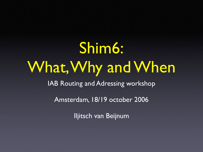# Shim6: What, Why and When IAB Routing and Adressing workshop Amsterdam, 18/19 october 2006

Iljitsch van Beijnum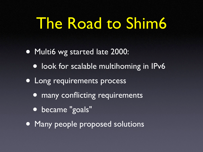## The Road to Shim6

• Multi6 wg started late 2000: • look for scalable multihoming in IPv6 • Long requirements process • many conflicting requirements • became "goals" • Many people proposed solutions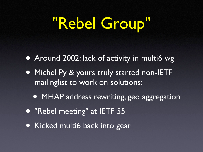## "Rebel Group"

• Around 2002: lack of activity in multi6 wg • Michel Py & yours truly started non-IETF mailinglist to work on solutions: • MHAP address rewriting, geo aggregation • "Rebel meeting" at IETF 55 • Kicked multi6 back into gear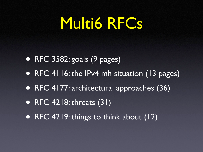### Multi6 RFCs

- RFC 3582: goals (9 pages)
- RFC 4116: the IPv4 mh situation (13 pages)
- RFC 4177: architectural approaches (36)
- RFC 4218: threats (31)
- RFC 4219: things to think about (12)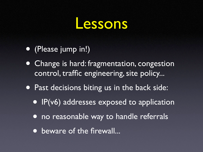#### essons

- (Please jump in!)
- Change is hard: fragmentation, congestion control, traffic engineering, site policy...
- Past decisions biting us in the back side:
	- IP(v6) addresses exposed to application
	- no reasonable way to handle referrals
	- beware of the firewall...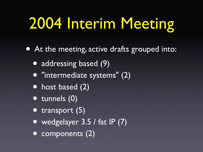## 2004 Interim Meeting

• At the meeting, active drafts grouped into:

• addressing based (9)

- "intermediate systems" (2)
- host based (2)
- tunnels (0)
- transport (5)
- wedgelayer 3.5 / fat IP (7)
- components (2)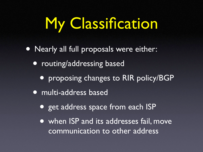## My Classification

- Nearly all full proposals were either:
	- routing/addressing based
		- proposing changes to RIR policy/BGP
	- multi-address based
		- get address space from each ISP
		- when ISP and its addresses fail, move communication to other address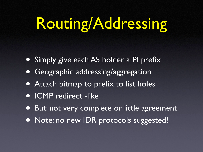## Routing/Addressing

- Simply give each AS holder a PI prefix
- Geographic addressing/aggregation
- Attach bitmap to prefix to list holes
- ICMP redirect -like
- But: not very complete or little agreement
- Note: no new IDR protocols suggested!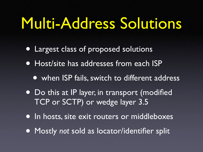### Multi-Address Solutions

- Largest class of proposed solutions
- Host/site has addresses from each ISP
	- when ISP fails, switch to different address
- Do this at IP layer, in transport (modified TCP or SCTP) or wedge layer 3.5
- In hosts, site exit routers or middleboxes
- Mostly *not* sold as locator/identifier split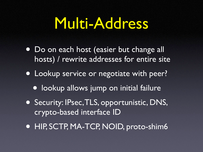### Multi-Address

- Do on each host (easier but change all hosts) / rewrite addresses for entire site
- Lookup service or negotiate with peer?
	- lookup allows jump on initial failure
- Security: IPsec,TLS, opportunistic, DNS, crypto-based interface ID
- HIP, SCTP, MA-TCP, NOID, proto-shim6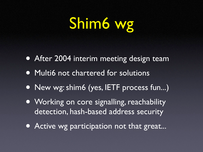## Shim6 wg

- After 2004 interim meeting design team
- Multi6 not chartered for solutions
- New wg: shim6 (yes, IETF process fun...)
- Working on core signalling, reachability detection, hash-based address security
- Active wg participation not that great...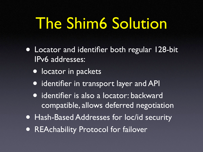### The Shim6 Solution

- Locator and identifier both regular 128-bit IPv6 addresses:
	- **locator in packets**
	- identifier in transport layer and API
	- identifier is also a locator: backward compatible, allows deferred negotiation
- Hash-Based Addresses for loc/id security
- REAchability Protocol for failover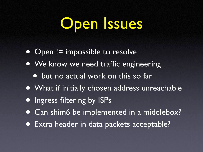## Open Issues

- Open != impossible to resolve
- We know we need traffic engineering
	- but no actual work on this so far
- What if initially chosen address unreachable
- **Ingress filtering by ISPs**
- Can shim6 be implemented in a middlebox?
- Extra header in data packets acceptable?